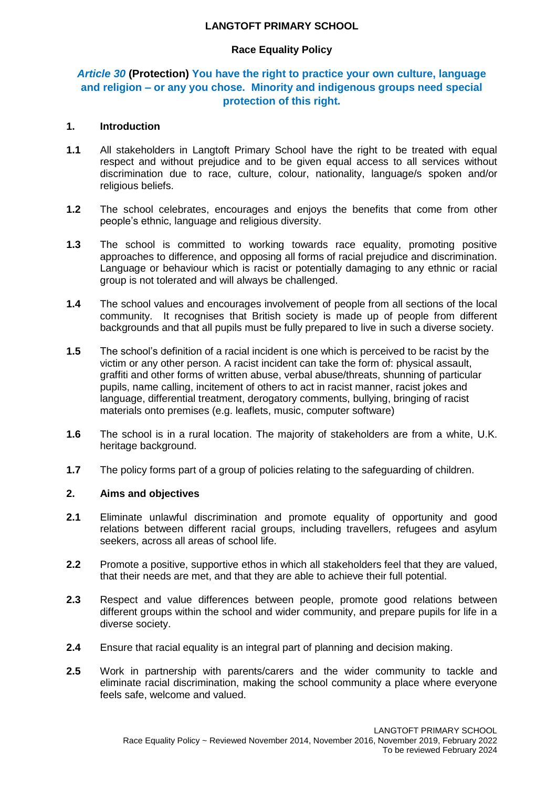### **LANGTOFT PRIMARY SCHOOL**

## **Race Equality Policy**

## *Article 30* **(Protection) You have the right to practice your own culture, language and religion – or any you chose. Minority and indigenous groups need special protection of this right.**

### **1. Introduction**

- **1.1** All stakeholders in Langtoft Primary School have the right to be treated with equal respect and without prejudice and to be given equal access to all services without discrimination due to race, culture, colour, nationality, language/s spoken and/or religious beliefs.
- **1.2** The school celebrates, encourages and enjoys the benefits that come from other people's ethnic, language and religious diversity.
- **1.3** The school is committed to working towards race equality, promoting positive approaches to difference, and opposing all forms of racial prejudice and discrimination. Language or behaviour which is racist or potentially damaging to any ethnic or racial group is not tolerated and will always be challenged.
- **1.4** The school values and encourages involvement of people from all sections of the local community. It recognises that British society is made up of people from different backgrounds and that all pupils must be fully prepared to live in such a diverse society.
- **1.5** The school's definition of a racial incident is one which is perceived to be racist by the victim or any other person. A racist incident can take the form of: physical assault, graffiti and other forms of written abuse, verbal abuse/threats, shunning of particular pupils, name calling, incitement of others to act in racist manner, racist jokes and language, differential treatment, derogatory comments, bullying, bringing of racist materials onto premises (e.g. leaflets, music, computer software)
- **1.6** The school is in a rural location. The majority of stakeholders are from a white, U.K. heritage background.
- **1.7** The policy forms part of a group of policies relating to the safeguarding of children.

### **2. Aims and objectives**

- **2.1** Eliminate unlawful discrimination and promote equality of opportunity and good relations between different racial groups, including travellers, refugees and asylum seekers, across all areas of school life.
- **2.2** Promote a positive, supportive ethos in which all stakeholders feel that they are valued, that their needs are met, and that they are able to achieve their full potential.
- **2.3** Respect and value differences between people, promote good relations between different groups within the school and wider community, and prepare pupils for life in a diverse society.
- **2.4** Ensure that racial equality is an integral part of planning and decision making.
- **2.5** Work in partnership with parents/carers and the wider community to tackle and eliminate racial discrimination, making the school community a place where everyone feels safe, welcome and valued.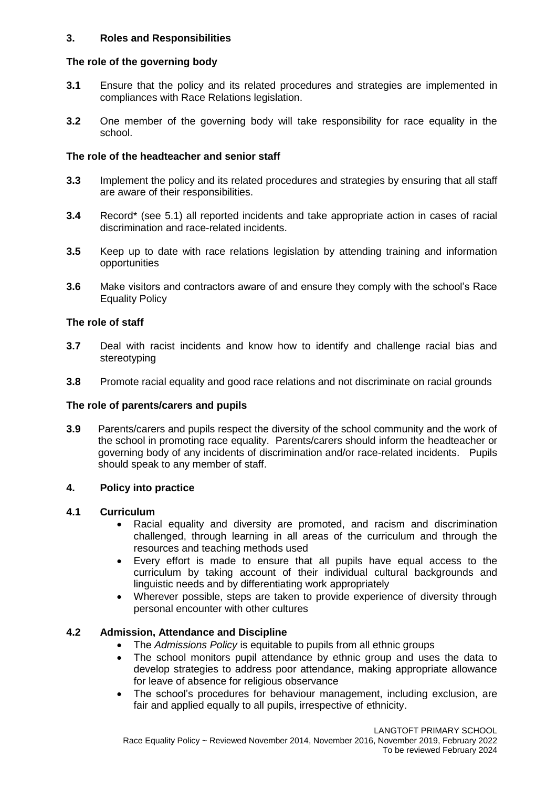## **3. Roles and Responsibilities**

## **The role of the governing body**

- **3.1** Ensure that the policy and its related procedures and strategies are implemented in compliances with Race Relations legislation.
- **3.2** One member of the governing body will take responsibility for race equality in the school.

### **The role of the headteacher and senior staff**

- **3.3** Implement the policy and its related procedures and strategies by ensuring that all staff are aware of their responsibilities.
- **3.4** Record\* (see 5.1) all reported incidents and take appropriate action in cases of racial discrimination and race-related incidents.
- **3.5** Keep up to date with race relations legislation by attending training and information opportunities
- **3.6** Make visitors and contractors aware of and ensure they comply with the school's Race Equality Policy

#### **The role of staff**

- **3.7** Deal with racist incidents and know how to identify and challenge racial bias and stereotyping
- **3.8** Promote racial equality and good race relations and not discriminate on racial grounds

### **The role of parents/carers and pupils**

**3.9** Parents/carers and pupils respect the diversity of the school community and the work of the school in promoting race equality. Parents/carers should inform the headteacher or governing body of any incidents of discrimination and/or race-related incidents. Pupils should speak to any member of staff.

#### **4. Policy into practice**

#### **4.1 Curriculum**

- Racial equality and diversity are promoted, and racism and discrimination challenged, through learning in all areas of the curriculum and through the resources and teaching methods used
- Every effort is made to ensure that all pupils have equal access to the curriculum by taking account of their individual cultural backgrounds and linguistic needs and by differentiating work appropriately
- Wherever possible, steps are taken to provide experience of diversity through personal encounter with other cultures

### **4.2 Admission, Attendance and Discipline**

- The *Admissions Policy* is equitable to pupils from all ethnic groups
- The school monitors pupil attendance by ethnic group and uses the data to develop strategies to address poor attendance, making appropriate allowance for leave of absence for religious observance
- The school's procedures for behaviour management, including exclusion, are fair and applied equally to all pupils, irrespective of ethnicity.